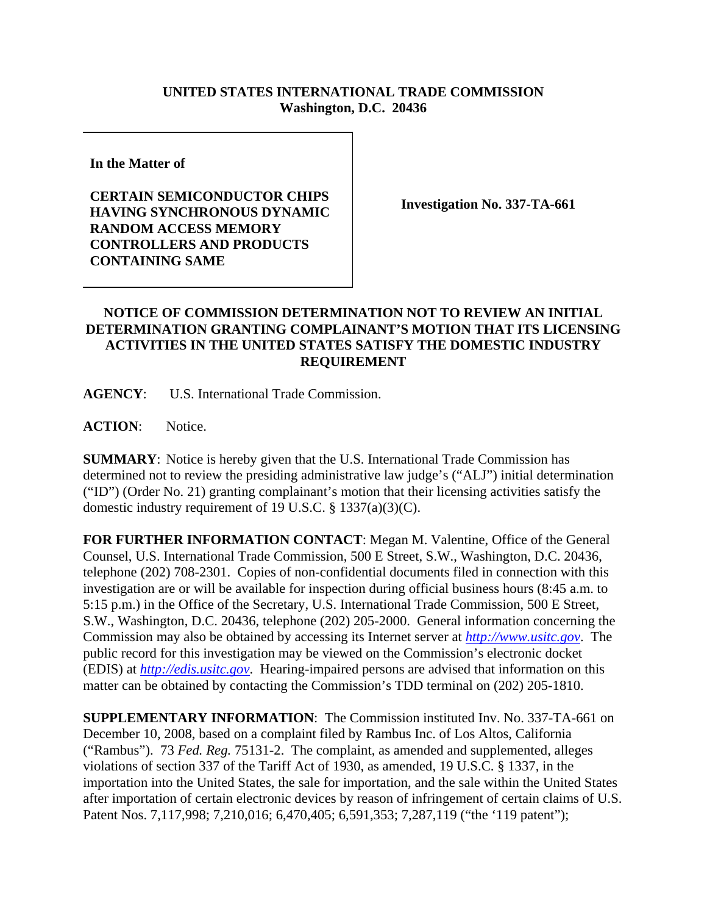## **UNITED STATES INTERNATIONAL TRADE COMMISSION Washington, D.C. 20436**

**In the Matter of** 

**CERTAIN SEMICONDUCTOR CHIPS HAVING SYNCHRONOUS DYNAMIC RANDOM ACCESS MEMORY CONTROLLERS AND PRODUCTS CONTAINING SAME**

**Investigation No. 337-TA-661**

## **NOTICE OF COMMISSION DETERMINATION NOT TO REVIEW AN INITIAL DETERMINATION GRANTING COMPLAINANT'S MOTION THAT ITS LICENSING ACTIVITIES IN THE UNITED STATES SATISFY THE DOMESTIC INDUSTRY REQUIREMENT**

**AGENCY**: U.S. International Trade Commission.

ACTION: Notice.

**SUMMARY**: Notice is hereby given that the U.S. International Trade Commission has determined not to review the presiding administrative law judge's ("ALJ") initial determination ("ID") (Order No. 21) granting complainant's motion that their licensing activities satisfy the domestic industry requirement of 19 U.S.C. § 1337(a)(3)(C).

**FOR FURTHER INFORMATION CONTACT**: Megan M. Valentine, Office of the General Counsel, U.S. International Trade Commission, 500 E Street, S.W., Washington, D.C. 20436, telephone (202) 708-2301. Copies of non-confidential documents filed in connection with this investigation are or will be available for inspection during official business hours (8:45 a.m. to 5:15 p.m.) in the Office of the Secretary, U.S. International Trade Commission, 500 E Street, S.W., Washington, D.C. 20436, telephone (202) 205-2000. General information concerning the Commission may also be obtained by accessing its Internet server at *http://www.usitc.gov*. The public record for this investigation may be viewed on the Commission's electronic docket (EDIS) at *http://edis.usitc.gov*. Hearing-impaired persons are advised that information on this matter can be obtained by contacting the Commission's TDD terminal on (202) 205-1810.

**SUPPLEMENTARY INFORMATION**: The Commission instituted Inv. No. 337-TA-661 on December 10, 2008, based on a complaint filed by Rambus Inc. of Los Altos, California ("Rambus"). 73 *Fed. Reg.* 75131-2. The complaint, as amended and supplemented, alleges violations of section 337 of the Tariff Act of 1930, as amended, 19 U.S.C. § 1337, in the importation into the United States, the sale for importation, and the sale within the United States after importation of certain electronic devices by reason of infringement of certain claims of U.S. Patent Nos. 7,117,998; 7,210,016; 6,470,405; 6,591,353; 7,287,119 ("the '119 patent");